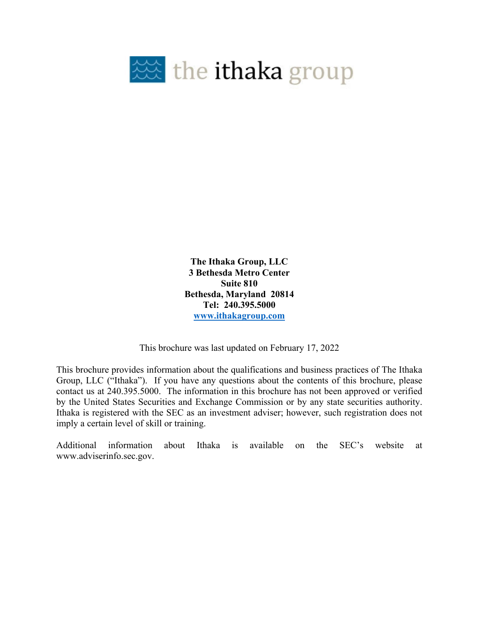

**The Ithaka Group, LLC 3 Bethesda Metro Center Suite 810 Bethesda, Maryland 20814 Tel: 240.395.5000 www.ithakagroup.com**

This brochure was last updated on February 17, 2022

This brochure provides information about the qualifications and business practices of The Ithaka Group, LLC ("Ithaka"). If you have any questions about the contents of this brochure, please contact us at 240.395.5000. The information in this brochure has not been approved or verified by the United States Securities and Exchange Commission or by any state securities authority. Ithaka is registered with the SEC as an investment adviser; however, such registration does not imply a certain level of skill or training.

Additional information about Ithaka is available on the SEC's website at www.adviserinfo.sec.gov.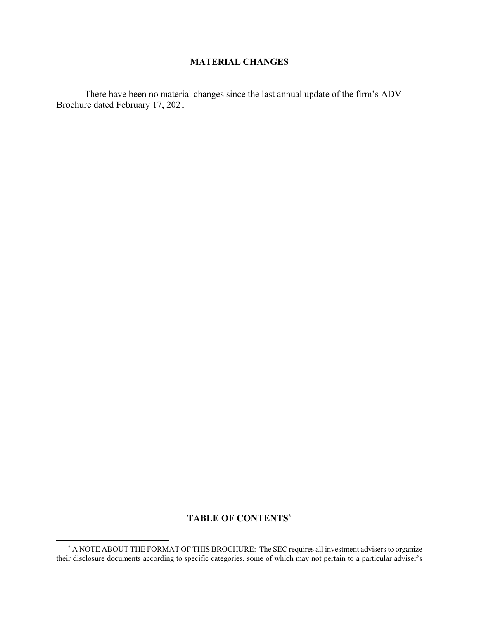#### **MATERIAL CHANGES**

There have been no material changes since the last annual update of the firm's ADV Brochure dated February 17, 2021

# **TABLE OF CONTENTS\***

 $\overline{a}$ 

 <sup>\*</sup> A NOTE ABOUT THE FORMAT OF THIS BROCHURE: The SEC requires all investment advisers to organize their disclosure documents according to specific categories, some of which may not pertain to a particular adviser's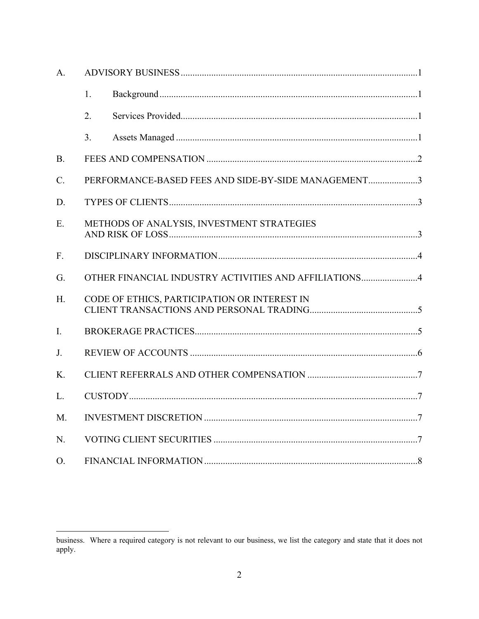| A.          |                                                     |                                                       |  |  |
|-------------|-----------------------------------------------------|-------------------------------------------------------|--|--|
|             | 1.                                                  |                                                       |  |  |
|             | 2.                                                  |                                                       |  |  |
|             | 3.                                                  |                                                       |  |  |
| <b>B.</b>   |                                                     |                                                       |  |  |
| $C_{\cdot}$ | PERFORMANCE-BASED FEES AND SIDE-BY-SIDE MANAGEMENT3 |                                                       |  |  |
| D.          |                                                     |                                                       |  |  |
| E.          | METHODS OF ANALYSIS, INVESTMENT STRATEGIES          |                                                       |  |  |
| F.          |                                                     |                                                       |  |  |
| G.          |                                                     | OTHER FINANCIAL INDUSTRY ACTIVITIES AND AFFILIATIONS4 |  |  |
| H.          |                                                     | CODE OF ETHICS, PARTICIPATION OR INTEREST IN          |  |  |
| I.          |                                                     |                                                       |  |  |
| J.          |                                                     |                                                       |  |  |
| $K_{\cdot}$ |                                                     |                                                       |  |  |
| L.          |                                                     |                                                       |  |  |
| M.          |                                                     |                                                       |  |  |
| N.          |                                                     |                                                       |  |  |
| O.          |                                                     |                                                       |  |  |

business. Where a required category is not relevant to our business, we list the category and state that it does not apply.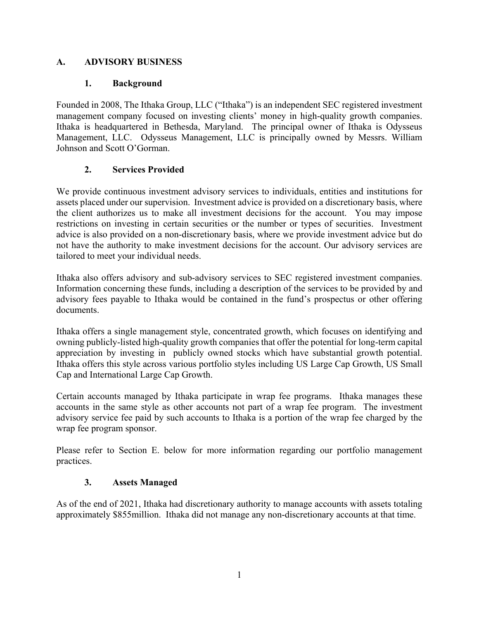#### **A. ADVISORY BUSINESS**

#### **1. Background**

Founded in 2008, The Ithaka Group, LLC ("Ithaka") is an independent SEC registered investment management company focused on investing clients' money in high-quality growth companies. Ithaka is headquartered in Bethesda, Maryland. The principal owner of Ithaka is Odysseus Management, LLC. Odysseus Management, LLC is principally owned by Messrs. William Johnson and Scott O'Gorman.

# **2. Services Provided**

We provide continuous investment advisory services to individuals, entities and institutions for assets placed under our supervision. Investment advice is provided on a discretionary basis, where the client authorizes us to make all investment decisions for the account. You may impose restrictions on investing in certain securities or the number or types of securities. Investment advice is also provided on a non-discretionary basis, where we provide investment advice but do not have the authority to make investment decisions for the account. Our advisory services are tailored to meet your individual needs.

Ithaka also offers advisory and sub-advisory services to SEC registered investment companies. Information concerning these funds, including a description of the services to be provided by and advisory fees payable to Ithaka would be contained in the fund's prospectus or other offering documents.

Ithaka offers a single management style, concentrated growth, which focuses on identifying and owning publicly-listed high-quality growth companies that offer the potential for long-term capital appreciation by investing in publicly owned stocks which have substantial growth potential. Ithaka offers this style across various portfolio styles including US Large Cap Growth, US Small Cap and International Large Cap Growth.

Certain accounts managed by Ithaka participate in wrap fee programs. Ithaka manages these accounts in the same style as other accounts not part of a wrap fee program. The investment advisory service fee paid by such accounts to Ithaka is a portion of the wrap fee charged by the wrap fee program sponsor.

Please refer to Section E. below for more information regarding our portfolio management practices.

#### **3. Assets Managed**

As of the end of 2021, Ithaka had discretionary authority to manage accounts with assets totaling approximately \$855million. Ithaka did not manage any non-discretionary accounts at that time.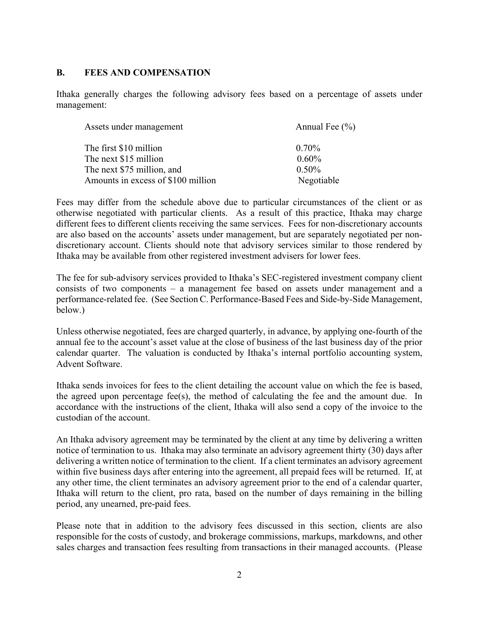#### **B. FEES AND COMPENSATION**

Ithaka generally charges the following advisory fees based on a percentage of assets under management:

| Assets under management            | Annual Fee $(\% )$ |
|------------------------------------|--------------------|
| The first \$10 million             | $0.70\%$           |
| The next \$15 million              | $0.60\%$           |
| The next \$75 million, and         | $0.50\%$           |
| Amounts in excess of \$100 million | Negotiable         |

Fees may differ from the schedule above due to particular circumstances of the client or as otherwise negotiated with particular clients. As a result of this practice, Ithaka may charge different fees to different clients receiving the same services. Fees for non-discretionary accounts are also based on the accounts' assets under management, but are separately negotiated per nondiscretionary account. Clients should note that advisory services similar to those rendered by Ithaka may be available from other registered investment advisers for lower fees.

The fee for sub-advisory services provided to Ithaka's SEC-registered investment company client consists of two components – a management fee based on assets under management and a performance-related fee. (See Section C. Performance-Based Fees and Side-by-Side Management, below.)

Unless otherwise negotiated, fees are charged quarterly, in advance, by applying one-fourth of the annual fee to the account's asset value at the close of business of the last business day of the prior calendar quarter. The valuation is conducted by Ithaka's internal portfolio accounting system, Advent Software.

Ithaka sends invoices for fees to the client detailing the account value on which the fee is based, the agreed upon percentage fee(s), the method of calculating the fee and the amount due. In accordance with the instructions of the client, Ithaka will also send a copy of the invoice to the custodian of the account.

An Ithaka advisory agreement may be terminated by the client at any time by delivering a written notice of termination to us. Ithaka may also terminate an advisory agreement thirty (30) days after delivering a written notice of termination to the client. If a client terminates an advisory agreement within five business days after entering into the agreement, all prepaid fees will be returned. If, at any other time, the client terminates an advisory agreement prior to the end of a calendar quarter, Ithaka will return to the client, pro rata, based on the number of days remaining in the billing period, any unearned, pre-paid fees.

Please note that in addition to the advisory fees discussed in this section, clients are also responsible for the costs of custody, and brokerage commissions, markups, markdowns, and other sales charges and transaction fees resulting from transactions in their managed accounts. (Please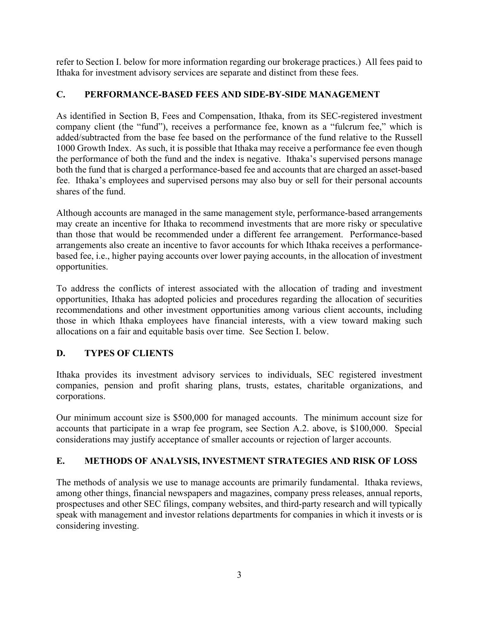refer to Section I. below for more information regarding our brokerage practices.) All fees paid to Ithaka for investment advisory services are separate and distinct from these fees.

#### **C. PERFORMANCE-BASED FEES AND SIDE-BY-SIDE MANAGEMENT**

As identified in Section B, Fees and Compensation, Ithaka, from its SEC-registered investment company client (the "fund"), receives a performance fee, known as a "fulcrum fee," which is added/subtracted from the base fee based on the performance of the fund relative to the Russell 1000 Growth Index. As such, it is possible that Ithaka may receive a performance fee even though the performance of both the fund and the index is negative. Ithaka's supervised persons manage both the fund that is charged a performance-based fee and accounts that are charged an asset-based fee. Ithaka's employees and supervised persons may also buy or sell for their personal accounts shares of the fund.

Although accounts are managed in the same management style, performance-based arrangements may create an incentive for Ithaka to recommend investments that are more risky or speculative than those that would be recommended under a different fee arrangement. Performance-based arrangements also create an incentive to favor accounts for which Ithaka receives a performancebased fee, i.e., higher paying accounts over lower paying accounts, in the allocation of investment opportunities.

To address the conflicts of interest associated with the allocation of trading and investment opportunities, Ithaka has adopted policies and procedures regarding the allocation of securities recommendations and other investment opportunities among various client accounts, including those in which Ithaka employees have financial interests, with a view toward making such allocations on a fair and equitable basis over time. See Section I. below.

# **D. TYPES OF CLIENTS**

Ithaka provides its investment advisory services to individuals, SEC registered investment companies, pension and profit sharing plans, trusts, estates, charitable organizations, and corporations.

Our minimum account size is \$500,000 for managed accounts. The minimum account size for accounts that participate in a wrap fee program, see Section A.2. above, is \$100,000. Special considerations may justify acceptance of smaller accounts or rejection of larger accounts.

#### **E. METHODS OF ANALYSIS, INVESTMENT STRATEGIES AND RISK OF LOSS**

The methods of analysis we use to manage accounts are primarily fundamental. Ithaka reviews, among other things, financial newspapers and magazines, company press releases, annual reports, prospectuses and other SEC filings, company websites, and third-party research and will typically speak with management and investor relations departments for companies in which it invests or is considering investing.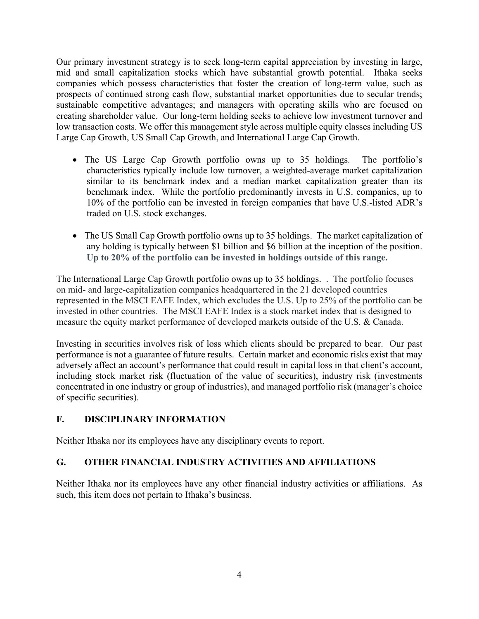Our primary investment strategy is to seek long-term capital appreciation by investing in large, mid and small capitalization stocks which have substantial growth potential. Ithaka seeks companies which possess characteristics that foster the creation of long-term value, such as prospects of continued strong cash flow, substantial market opportunities due to secular trends; sustainable competitive advantages; and managers with operating skills who are focused on creating shareholder value. Our long-term holding seeks to achieve low investment turnover and low transaction costs. We offer this management style across multiple equity classes including US Large Cap Growth, US Small Cap Growth, and International Large Cap Growth.

- The US Large Cap Growth portfolio owns up to 35 holdings. The portfolio's characteristics typically include low turnover, a weighted-average market capitalization similar to its benchmark index and a median market capitalization greater than its benchmark index. While the portfolio predominantly invests in U.S. companies, up to 10% of the portfolio can be invested in foreign companies that have U.S.-listed ADR's traded on U.S. stock exchanges.
- The US Small Cap Growth portfolio owns up to 35 holdings. The market capitalization of any holding is typically between \$1 billion and \$6 billion at the inception of the position. **Up to 20% of the portfolio can be invested in holdings outside of this range.**

The International Large Cap Growth portfolio owns up to 35 holdings. . The portfolio focuses on mid- and large-capitalization companies headquartered in the 21 developed countries represented in the MSCI EAFE Index, which excludes the U.S. Up to 25% of the portfolio can be invested in other countries. The MSCI EAFE Index is a stock market index that is designed to measure the equity market performance of developed markets outside of the U.S. & Canada.

Investing in securities involves risk of loss which clients should be prepared to bear. Our past performance is not a guarantee of future results. Certain market and economic risks exist that may adversely affect an account's performance that could result in capital loss in that client's account, including stock market risk (fluctuation of the value of securities), industry risk (investments concentrated in one industry or group of industries), and managed portfolio risk (manager's choice of specific securities).

# **F. DISCIPLINARY INFORMATION**

Neither Ithaka nor its employees have any disciplinary events to report.

#### **G. OTHER FINANCIAL INDUSTRY ACTIVITIES AND AFFILIATIONS**

Neither Ithaka nor its employees have any other financial industry activities or affiliations. As such, this item does not pertain to Ithaka's business.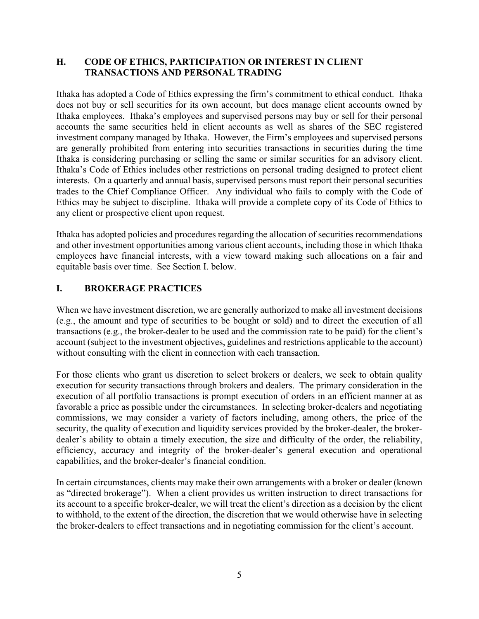#### **H. CODE OF ETHICS, PARTICIPATION OR INTEREST IN CLIENT TRANSACTIONS AND PERSONAL TRADING**

Ithaka has adopted a Code of Ethics expressing the firm's commitment to ethical conduct. Ithaka does not buy or sell securities for its own account, but does manage client accounts owned by Ithaka employees. Ithaka's employees and supervised persons may buy or sell for their personal accounts the same securities held in client accounts as well as shares of the SEC registered investment company managed by Ithaka. However, the Firm's employees and supervised persons are generally prohibited from entering into securities transactions in securities during the time Ithaka is considering purchasing or selling the same or similar securities for an advisory client. Ithaka's Code of Ethics includes other restrictions on personal trading designed to protect client interests. On a quarterly and annual basis, supervised persons must report their personal securities trades to the Chief Compliance Officer. Any individual who fails to comply with the Code of Ethics may be subject to discipline. Ithaka will provide a complete copy of its Code of Ethics to any client or prospective client upon request.

Ithaka has adopted policies and procedures regarding the allocation of securities recommendations and other investment opportunities among various client accounts, including those in which Ithaka employees have financial interests, with a view toward making such allocations on a fair and equitable basis over time. See Section I. below.

#### **I. BROKERAGE PRACTICES**

When we have investment discretion, we are generally authorized to make all investment decisions (e.g., the amount and type of securities to be bought or sold) and to direct the execution of all transactions (e.g., the broker-dealer to be used and the commission rate to be paid) for the client's account (subject to the investment objectives, guidelines and restrictions applicable to the account) without consulting with the client in connection with each transaction.

For those clients who grant us discretion to select brokers or dealers, we seek to obtain quality execution for security transactions through brokers and dealers. The primary consideration in the execution of all portfolio transactions is prompt execution of orders in an efficient manner at as favorable a price as possible under the circumstances. In selecting broker-dealers and negotiating commissions, we may consider a variety of factors including, among others, the price of the security, the quality of execution and liquidity services provided by the broker-dealer, the brokerdealer's ability to obtain a timely execution, the size and difficulty of the order, the reliability, efficiency, accuracy and integrity of the broker-dealer's general execution and operational capabilities, and the broker-dealer's financial condition.

In certain circumstances, clients may make their own arrangements with a broker or dealer (known as "directed brokerage"). When a client provides us written instruction to direct transactions for its account to a specific broker-dealer, we will treat the client's direction as a decision by the client to withhold, to the extent of the direction, the discretion that we would otherwise have in selecting the broker-dealers to effect transactions and in negotiating commission for the client's account.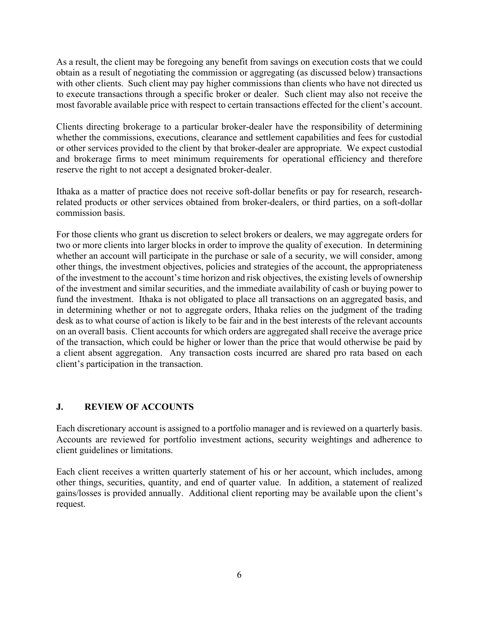As a result, the client may be foregoing any benefit from savings on execution costs that we could obtain as a result of negotiating the commission or aggregating (as discussed below) transactions with other clients. Such client may pay higher commissions than clients who have not directed us to execute transactions through a specific broker or dealer. Such client may also not receive the most favorable available price with respect to certain transactions effected for the client's account.

Clients directing brokerage to a particular broker-dealer have the responsibility of determining whether the commissions, executions, clearance and settlement capabilities and fees for custodial or other services provided to the client by that broker-dealer are appropriate. We expect custodial and brokerage firms to meet minimum requirements for operational efficiency and therefore reserve the right to not accept a designated broker-dealer.

Ithaka as a matter of practice does not receive soft-dollar benefits or pay for research, researchrelated products or other services obtained from broker-dealers, or third parties, on a soft-dollar commission basis.

For those clients who grant us discretion to select brokers or dealers, we may aggregate orders for two or more clients into larger blocks in order to improve the quality of execution. In determining whether an account will participate in the purchase or sale of a security, we will consider, among other things, the investment objectives, policies and strategies of the account, the appropriateness of the investment to the account's time horizon and risk objectives, the existing levels of ownership of the investment and similar securities, and the immediate availability of cash or buying power to fund the investment. Ithaka is not obligated to place all transactions on an aggregated basis, and in determining whether or not to aggregate orders, Ithaka relies on the judgment of the trading desk as to what course of action is likely to be fair and in the best interests of the relevant accounts on an overall basis. Client accounts for which orders are aggregated shall receive the average price of the transaction, which could be higher or lower than the price that would otherwise be paid by a client absent aggregation. Any transaction costs incurred are shared pro rata based on each client's participation in the transaction.

#### **J. REVIEW OF ACCOUNTS**

Each discretionary account is assigned to a portfolio manager and is reviewed on a quarterly basis. Accounts are reviewed for portfolio investment actions, security weightings and adherence to client guidelines or limitations.

Each client receives a written quarterly statement of his or her account, which includes, among other things, securities, quantity, and end of quarter value. In addition, a statement of realized gains/losses is provided annually. Additional client reporting may be available upon the client's request.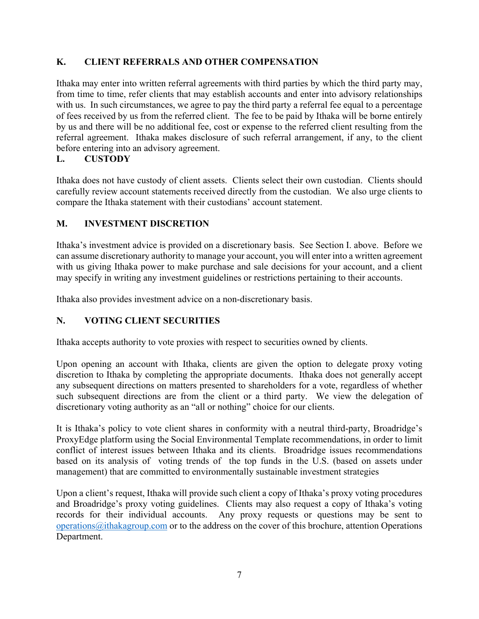#### **K. CLIENT REFERRALS AND OTHER COMPENSATION**

Ithaka may enter into written referral agreements with third parties by which the third party may, from time to time, refer clients that may establish accounts and enter into advisory relationships with us. In such circumstances, we agree to pay the third party a referral fee equal to a percentage of fees received by us from the referred client. The fee to be paid by Ithaka will be borne entirely by us and there will be no additional fee, cost or expense to the referred client resulting from the referral agreement. Ithaka makes disclosure of such referral arrangement, if any, to the client before entering into an advisory agreement.

#### **L. CUSTODY**

Ithaka does not have custody of client assets. Clients select their own custodian. Clients should carefully review account statements received directly from the custodian. We also urge clients to compare the Ithaka statement with their custodians' account statement.

#### **M. INVESTMENT DISCRETION**

Ithaka's investment advice is provided on a discretionary basis. See Section I. above. Before we can assume discretionary authority to manage your account, you will enter into a written agreement with us giving Ithaka power to make purchase and sale decisions for your account, and a client may specify in writing any investment guidelines or restrictions pertaining to their accounts.

Ithaka also provides investment advice on a non-discretionary basis.

# **N. VOTING CLIENT SECURITIES**

Ithaka accepts authority to vote proxies with respect to securities owned by clients.

Upon opening an account with Ithaka, clients are given the option to delegate proxy voting discretion to Ithaka by completing the appropriate documents. Ithaka does not generally accept any subsequent directions on matters presented to shareholders for a vote, regardless of whether such subsequent directions are from the client or a third party. We view the delegation of discretionary voting authority as an "all or nothing" choice for our clients.

It is Ithaka's policy to vote client shares in conformity with a neutral third-party, Broadridge's ProxyEdge platform using the Social Environmental Template recommendations, in order to limit conflict of interest issues between Ithaka and its clients. Broadridge issues recommendations based on its analysis of voting trends of the top funds in the U.S. (based on assets under management) that are committed to environmentally sustainable investment strategies

Upon a client's request, Ithaka will provide such client a copy of Ithaka's proxy voting procedures and Broadridge's proxy voting guidelines. Clients may also request a copy of Ithaka's voting records for their individual accounts. Any proxy requests or questions may be sent to operations@ithakagroup.com or to the address on the cover of this brochure, attention Operations Department.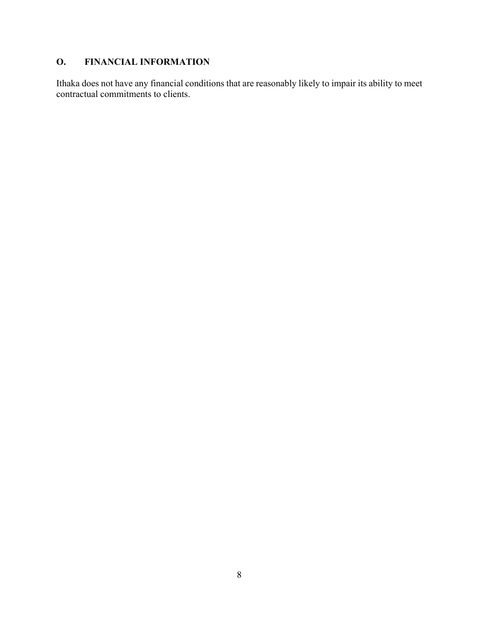# **O. FINANCIAL INFORMATION**

Ithaka does not have any financial conditions that are reasonably likely to impair its ability to meet contractual commitments to clients.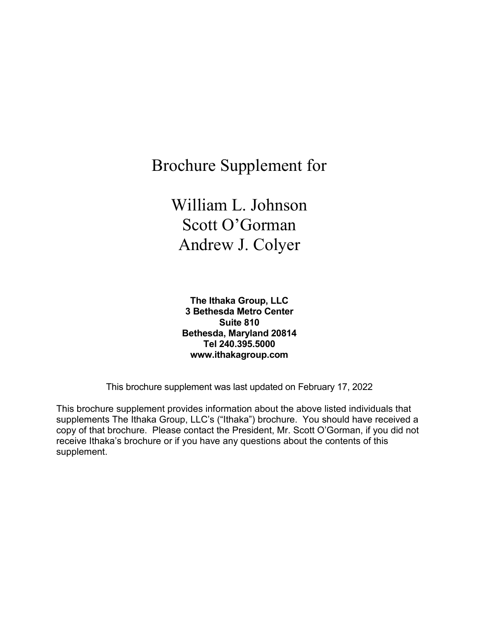Brochure Supplement for

William L. Johnson Scott O'Gorman Andrew J. Colyer

**The Ithaka Group, LLC 3 Bethesda Metro Center Suite 810 Bethesda, Maryland 20814 Tel 240.395.5000 www.ithakagroup.com**

This brochure supplement was last updated on February 17, 2022

This brochure supplement provides information about the above listed individuals that supplements The Ithaka Group, LLC's ("Ithaka") brochure. You should have received a copy of that brochure. Please contact the President, Mr. Scott O'Gorman, if you did not receive Ithaka's brochure or if you have any questions about the contents of this supplement.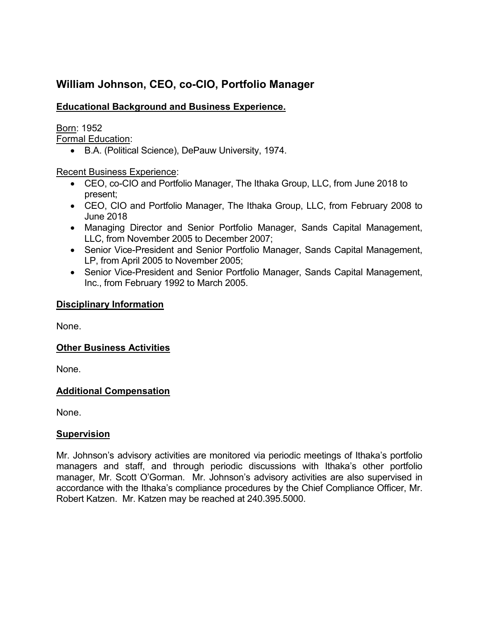# **William Johnson, CEO, co-CIO, Portfolio Manager**

# **Educational Background and Business Experience.**

Born: 1952

Formal Education:

• B.A. (Political Science), DePauw University, 1974.

Recent Business Experience:

- CEO, co-CIO and Portfolio Manager, The Ithaka Group, LLC, from June 2018 to present;
- CEO, CIO and Portfolio Manager, The Ithaka Group, LLC, from February 2008 to June 2018
- Managing Director and Senior Portfolio Manager, Sands Capital Management, LLC, from November 2005 to December 2007;
- Senior Vice-President and Senior Portfolio Manager, Sands Capital Management, LP, from April 2005 to November 2005;
- Senior Vice-President and Senior Portfolio Manager, Sands Capital Management, Inc., from February 1992 to March 2005.

# **Disciplinary Information**

None.

# **Other Business Activities**

None.

# **Additional Compensation**

None.

# **Supervision**

Mr. Johnson's advisory activities are monitored via periodic meetings of Ithaka's portfolio managers and staff, and through periodic discussions with Ithaka's other portfolio manager, Mr. Scott O'Gorman. Mr. Johnson's advisory activities are also supervised in accordance with the Ithaka's compliance procedures by the Chief Compliance Officer, Mr. Robert Katzen. Mr. Katzen may be reached at 240.395.5000.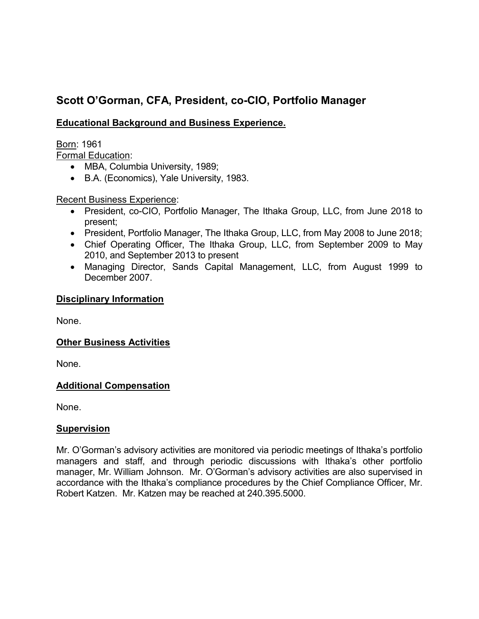# **Scott O'Gorman, CFA, President, co-CIO, Portfolio Manager**

# **Educational Background and Business Experience.**

Born: 1961 Formal Education:

- MBA, Columbia University, 1989;
- B.A. (Economics), Yale University, 1983.

#### Recent Business Experience:

- President, co-CIO, Portfolio Manager, The Ithaka Group, LLC, from June 2018 to present;
- President, Portfolio Manager, The Ithaka Group, LLC, from May 2008 to June 2018;
- Chief Operating Officer, The Ithaka Group, LLC, from September 2009 to May 2010, and September 2013 to present
- Managing Director, Sands Capital Management, LLC, from August 1999 to December 2007.

#### **Disciplinary Information**

None.

#### **Other Business Activities**

None.

# **Additional Compensation**

None.

#### **Supervision**

Mr. O'Gorman's advisory activities are monitored via periodic meetings of Ithaka's portfolio managers and staff, and through periodic discussions with Ithaka's other portfolio manager, Mr. William Johnson. Mr. O'Gorman's advisory activities are also supervised in accordance with the Ithaka's compliance procedures by the Chief Compliance Officer, Mr. Robert Katzen. Mr. Katzen may be reached at 240.395.5000.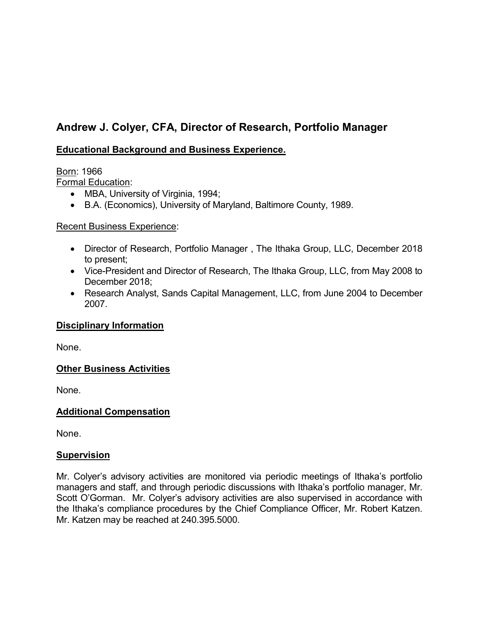# **Andrew J. Colyer, CFA, Director of Research, Portfolio Manager**

# **Educational Background and Business Experience.**

# Born: 1966

Formal Education:

- MBA, University of Virginia, 1994;
- B.A. (Economics), University of Maryland, Baltimore County, 1989.

# Recent Business Experience:

- Director of Research, Portfolio Manager , The Ithaka Group, LLC, December 2018 to present;
- Vice-President and Director of Research, The Ithaka Group, LLC, from May 2008 to December 2018;
- Research Analyst, Sands Capital Management, LLC, from June 2004 to December 2007.

# **Disciplinary Information**

None.

# **Other Business Activities**

None.

# **Additional Compensation**

None.

#### **Supervision**

Mr. Colyer's advisory activities are monitored via periodic meetings of Ithaka's portfolio managers and staff, and through periodic discussions with Ithaka's portfolio manager, Mr. Scott O'Gorman. Mr. Colyer's advisory activities are also supervised in accordance with the Ithaka's compliance procedures by the Chief Compliance Officer, Mr. Robert Katzen. Mr. Katzen may be reached at 240.395.5000.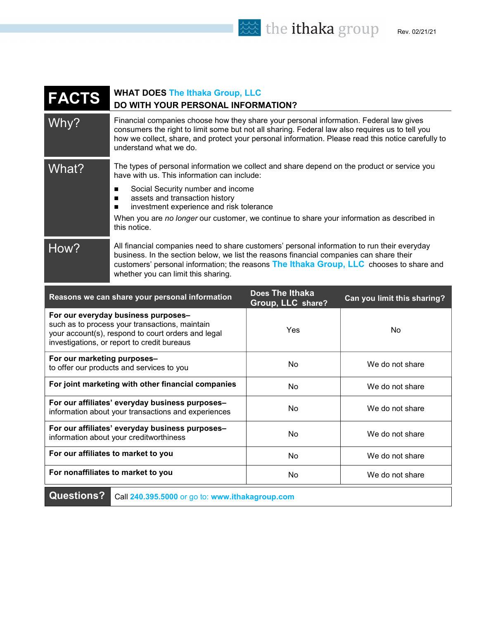the ithaka group Rev. 02/21/21

| <b>FACTS</b>                                                         | <b>WHAT DOES The Ithaka Group, LLC</b><br>DO WITH YOUR PERSONAL INFORMATION?                                                                                                                                                                                                                                              |                                                                                             |                             |  |
|----------------------------------------------------------------------|---------------------------------------------------------------------------------------------------------------------------------------------------------------------------------------------------------------------------------------------------------------------------------------------------------------------------|---------------------------------------------------------------------------------------------|-----------------------------|--|
| Why?                                                                 | Financial companies choose how they share your personal information. Federal law gives<br>consumers the right to limit some but not all sharing. Federal law also requires us to tell you<br>how we collect, share, and protect your personal information. Please read this notice carefully to<br>understand what we do. |                                                                                             |                             |  |
| What?                                                                | have with us. This information can include:                                                                                                                                                                                                                                                                               | The types of personal information we collect and share depend on the product or service you |                             |  |
|                                                                      | Social Security number and income<br>п<br>assets and transaction history<br>п<br>investment experience and risk tolerance<br>п<br>When you are no longer our customer, we continue to share your information as described in<br>this notice.                                                                              |                                                                                             |                             |  |
| How?                                                                 | All financial companies need to share customers' personal information to run their everyday<br>business. In the section below, we list the reasons financial companies can share their<br>customers' personal information; the reasons The Ithaka Group, LLC chooses to share and<br>whether you can limit this sharing.  |                                                                                             |                             |  |
|                                                                      | Reasons we can share your personal information                                                                                                                                                                                                                                                                            | Does The Ithaka<br>Group, LLC share?                                                        | Can you limit this sharing? |  |
|                                                                      | For our everyday business purposes-<br>such as to process your transactions, maintain<br>your account(s), respond to court orders and legal<br>investigations, or report to credit bureaus                                                                                                                                | Yes                                                                                         | No                          |  |
| For our marketing purposes-                                          | to offer our products and services to you                                                                                                                                                                                                                                                                                 | No                                                                                          | We do not share             |  |
|                                                                      | For joint marketing with other financial companies                                                                                                                                                                                                                                                                        | No                                                                                          | We do not share             |  |
|                                                                      | For our affiliates' everyday business purposes-<br>information about your transactions and experiences                                                                                                                                                                                                                    | No                                                                                          | We do not share             |  |
|                                                                      | For our affiliates' everyday business purposes-<br>information about your creditworthiness                                                                                                                                                                                                                                | No                                                                                          | We do not share             |  |
|                                                                      | For our affiliates to market to you                                                                                                                                                                                                                                                                                       | No                                                                                          | We do not share             |  |
|                                                                      | For nonaffiliates to market to you                                                                                                                                                                                                                                                                                        | No                                                                                          | We do not share             |  |
| <b>Questions?</b><br>Call 240.395.5000 or go to: www.ithakagroup.com |                                                                                                                                                                                                                                                                                                                           |                                                                                             |                             |  |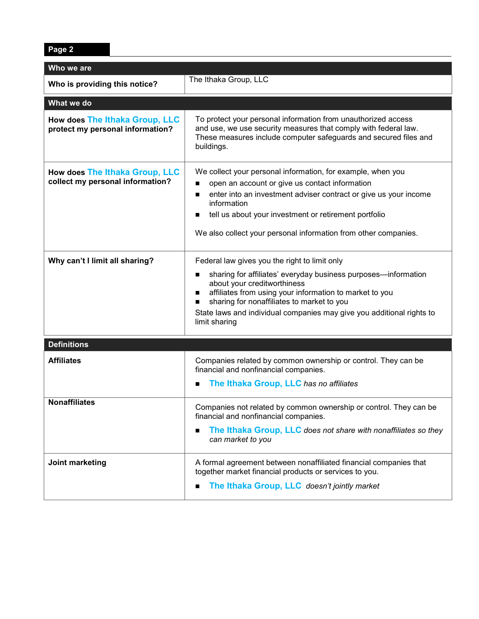**Page 2**

| Who we are                                                         |                                                                                                                                                                                                                                                                                                  |  |  |  |  |
|--------------------------------------------------------------------|--------------------------------------------------------------------------------------------------------------------------------------------------------------------------------------------------------------------------------------------------------------------------------------------------|--|--|--|--|
| Who is providing this notice?                                      | The Ithaka Group, LLC                                                                                                                                                                                                                                                                            |  |  |  |  |
|                                                                    |                                                                                                                                                                                                                                                                                                  |  |  |  |  |
| What we do                                                         |                                                                                                                                                                                                                                                                                                  |  |  |  |  |
| How does The Ithaka Group, LLC<br>protect my personal information? | To protect your personal information from unauthorized access<br>and use, we use security measures that comply with federal law.<br>These measures include computer safeguards and secured files and<br>buildings.                                                                               |  |  |  |  |
| How does The Ithaka Group, LLC<br>collect my personal information? | We collect your personal information, for example, when you<br>open an account or give us contact information<br>enter into an investment adviser contract or give us your income<br>information                                                                                                 |  |  |  |  |
|                                                                    | tell us about your investment or retirement portfolio                                                                                                                                                                                                                                            |  |  |  |  |
|                                                                    | We also collect your personal information from other companies.                                                                                                                                                                                                                                  |  |  |  |  |
| Why can't I limit all sharing?                                     | Federal law gives you the right to limit only                                                                                                                                                                                                                                                    |  |  |  |  |
|                                                                    | sharing for affiliates' everyday business purposes-information<br>about your creditworthiness<br>affiliates from using your information to market to you<br>sharing for nonaffiliates to market to you<br>State laws and individual companies may give you additional rights to<br>limit sharing |  |  |  |  |
| <b>Definitions</b>                                                 |                                                                                                                                                                                                                                                                                                  |  |  |  |  |
| <b>Affiliates</b>                                                  | Companies related by common ownership or control. They can be<br>financial and nonfinancial companies.<br>The Ithaka Group, LLC has no affiliates<br>■                                                                                                                                           |  |  |  |  |
| <b>Nonaffiliates</b>                                               | Companies not related by common ownership or control. They can be<br>financial and nonfinancial companies.<br>The Ithaka Group, LLC does not share with nonaffiliates so they<br>■<br>can market to you                                                                                          |  |  |  |  |
| Joint marketing                                                    | A formal agreement between nonaffiliated financial companies that<br>together market financial products or services to you.<br>The Ithaka Group, LLC doesn't jointly market                                                                                                                      |  |  |  |  |